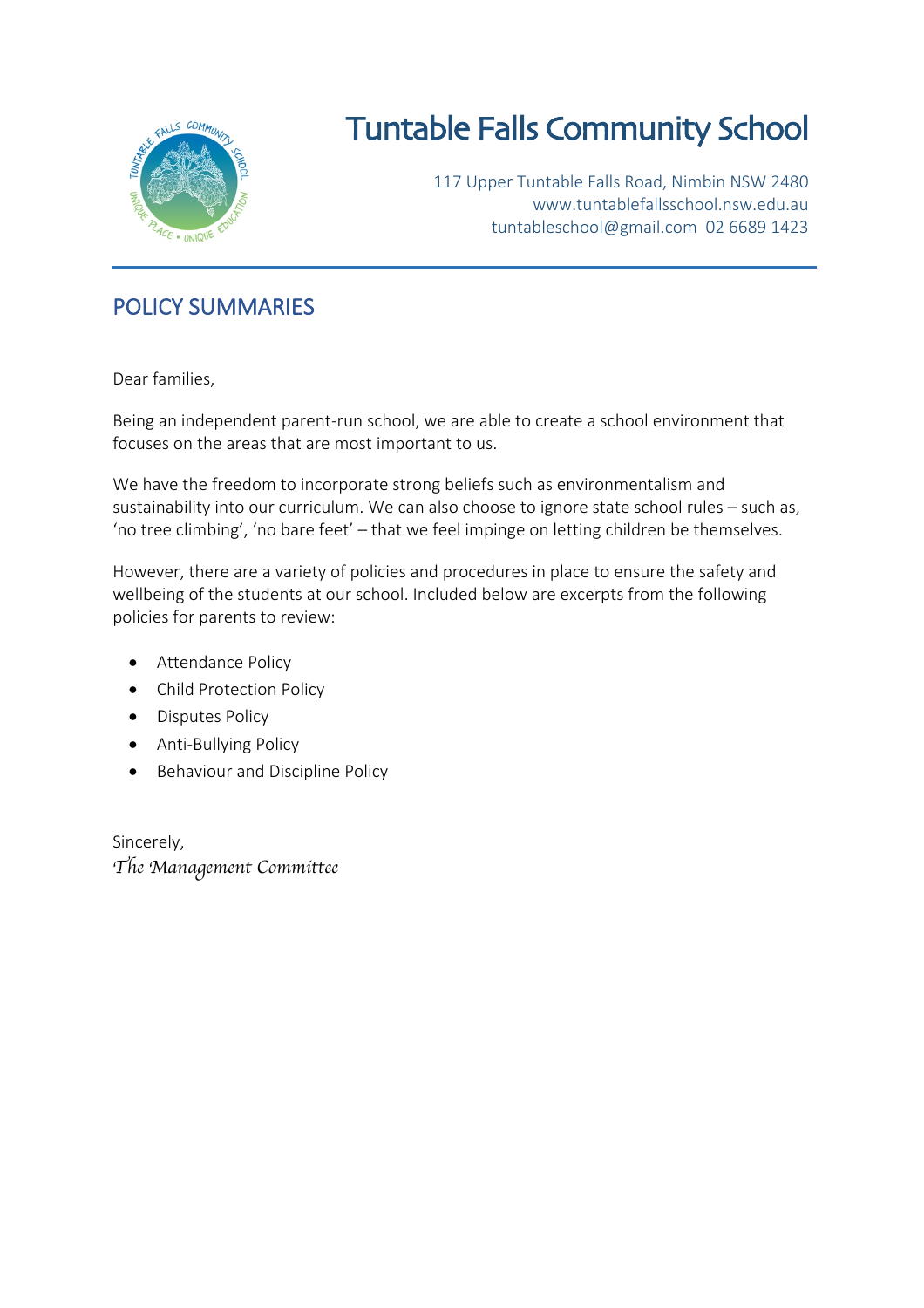

# Tuntable Falls Community School

117 Upper Tuntable Falls Road, Nimbin NSW 2480 www.tuntablefallsschool.nsw.edu.au tuntableschool@gmail.com 02 6689 1423

### POLICY SUMMARIES

Dear families,

Being an independent parent-run school, we are able to create a school environment that focuses on the areas that are most important to us.

We have the freedom to incorporate strong beliefs such as environmentalism and sustainability into our curriculum. We can also choose to ignore state school rules – such as, 'no tree climbing', 'no bare feet' – that we feel impinge on letting children be themselves.

However, there are a variety of policies and procedures in place to ensure the safety and wellbeing of the students at our school. Included below are excerpts from the following policies for parents to review:

- Attendance Policy
- Child Protection Policy
- Disputes Policy
- Anti-Bullying Policy
- Behaviour and Discipline Policy

Sincerely, *The Management Committee*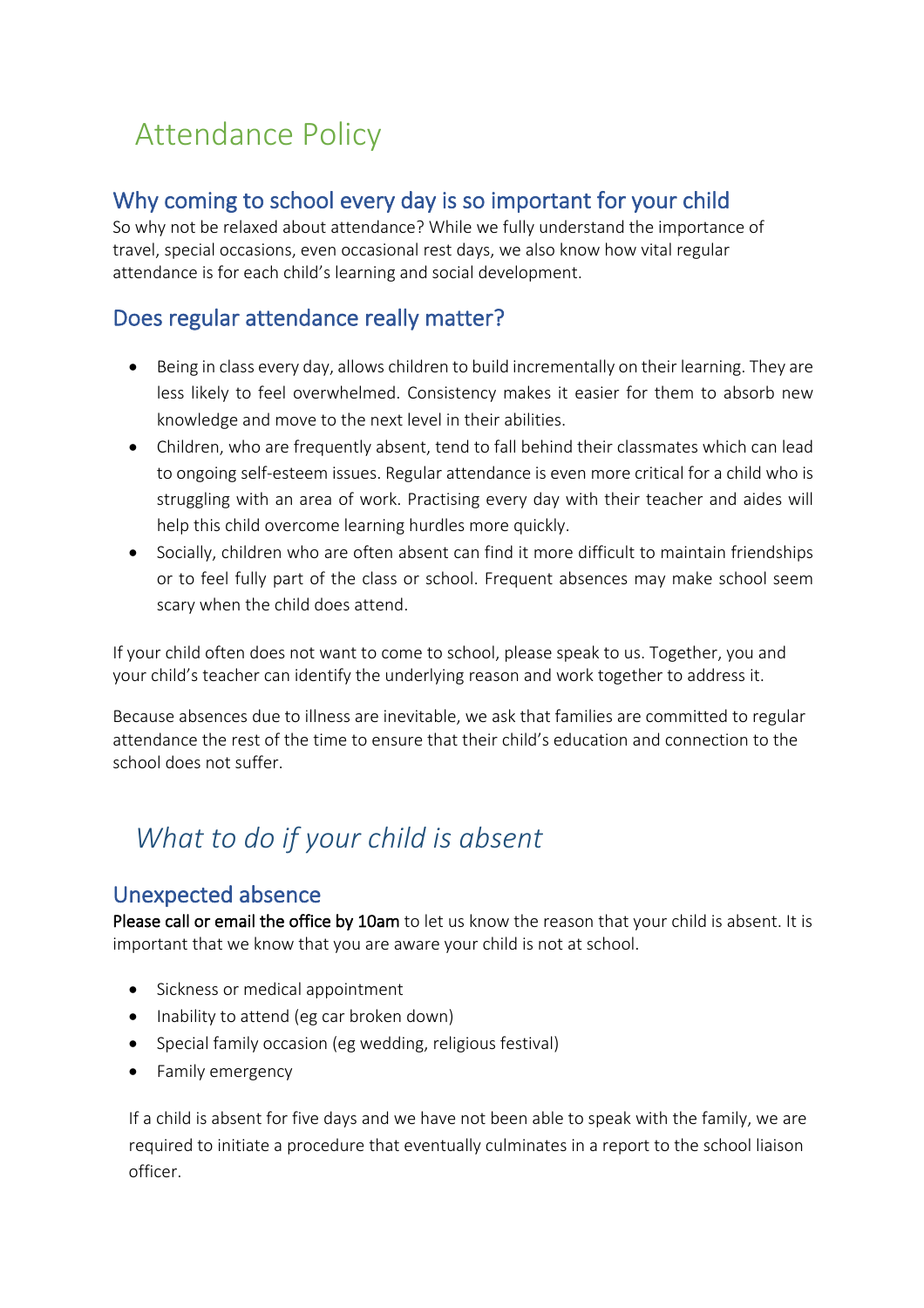# Attendance Policy

### Why coming to school every day is so important for your child

So why not be relaxed about attendance? While we fully understand the importance of travel, special occasions, even occasional rest days, we also know how vital regular attendance is for each child's learning and social development.

### Does regular attendance really matter?

- Being in class every day, allows children to build incrementally on their learning. They are less likely to feel overwhelmed. Consistency makes it easier for them to absorb new knowledge and move to the next level in their abilities.
- Children, who are frequently absent, tend to fall behind their classmates which can lead to ongoing self-esteem issues. Regular attendance is even more critical for a child who is struggling with an area of work. Practising every day with their teacher and aides will help this child overcome learning hurdles more quickly.
- Socially, children who are often absent can find it more difficult to maintain friendships or to feel fully part of the class or school. Frequent absences may make school seem scary when the child does attend.

If your child often does not want to come to school, please speak to us. Together, you and your child's teacher can identify the underlying reason and work together to address it.

Because absences due to illness are inevitable, we ask that families are committed to regular attendance the rest of the time to ensure that their child's education and connection to the school does not suffer.

# *What to do if your child is absent*

#### Unexpected absence

Please call or email the office by 10am to let us know the reason that your child is absent. It is important that we know that you are aware your child is not at school.

- Sickness or medical appointment
- Inability to attend (eg car broken down)
- Special family occasion (eg wedding, religious festival)
- Family emergency

If a child is absent for five days and we have not been able to speak with the family, we are required to initiate a procedure that eventually culminates in a report to the school liaison officer.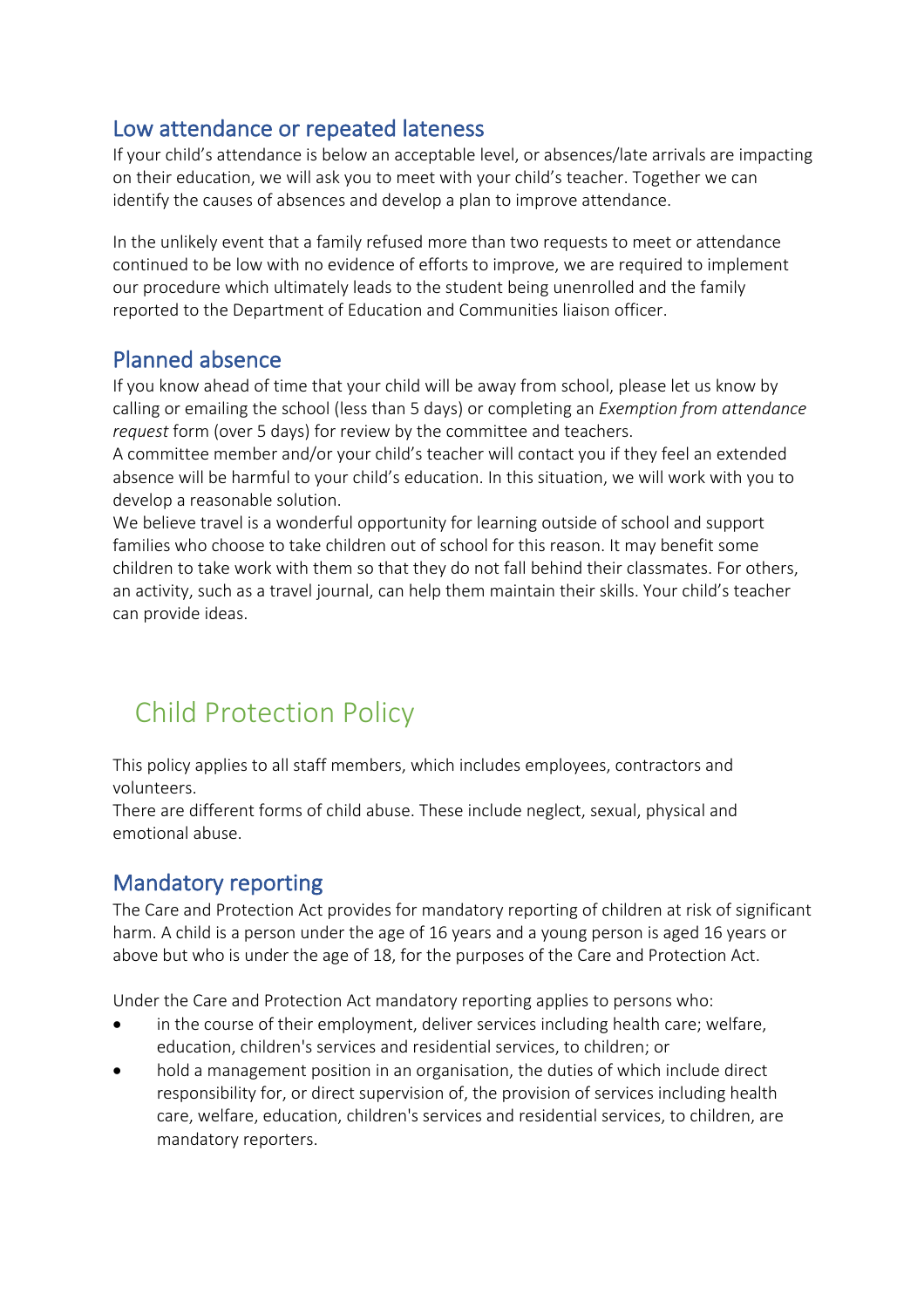#### Low attendance or repeated lateness

If your child's attendance is below an acceptable level, or absences/late arrivals are impacting on their education, we will ask you to meet with your child's teacher. Together we can identify the causes of absences and develop a plan to improve attendance.

In the unlikely event that a family refused more than two requests to meet or attendance continued to be low with no evidence of efforts to improve, we are required to implement our procedure which ultimately leads to the student being unenrolled and the family reported to the Department of Education and Communities liaison officer.

#### Planned absence

If you know ahead of time that your child will be away from school, please let us know by calling or emailing the school (less than 5 days) or completing an *Exemption from attendance request* form (over 5 days) for review by the committee and teachers.

A committee member and/or your child's teacher will contact you if they feel an extended absence will be harmful to your child's education. In this situation, we will work with you to develop a reasonable solution.

We believe travel is a wonderful opportunity for learning outside of school and support families who choose to take children out of school for this reason. It may benefit some children to take work with them so that they do not fall behind their classmates. For others, an activity, such as a travel journal, can help them maintain their skills. Your child's teacher can provide ideas.

## Child Protection Policy

This policy applies to all staff members, which includes employees, contractors and volunteers.

There are different forms of child abuse. These include neglect, sexual, physical and emotional abuse.

#### Mandatory reporting

The Care and Protection Act provides for mandatory reporting of children at risk of significant harm. A child is a person under the age of 16 years and a young person is aged 16 years or above but who is under the age of 18, for the purposes of the Care and Protection Act.

Under the Care and Protection Act mandatory reporting applies to persons who:

- in the course of their employment, deliver services including health care; welfare, education, children's services and residential services, to children; or
- hold a management position in an organisation, the duties of which include direct responsibility for, or direct supervision of, the provision of services including health care, welfare, education, children's services and residential services, to children, are mandatory reporters.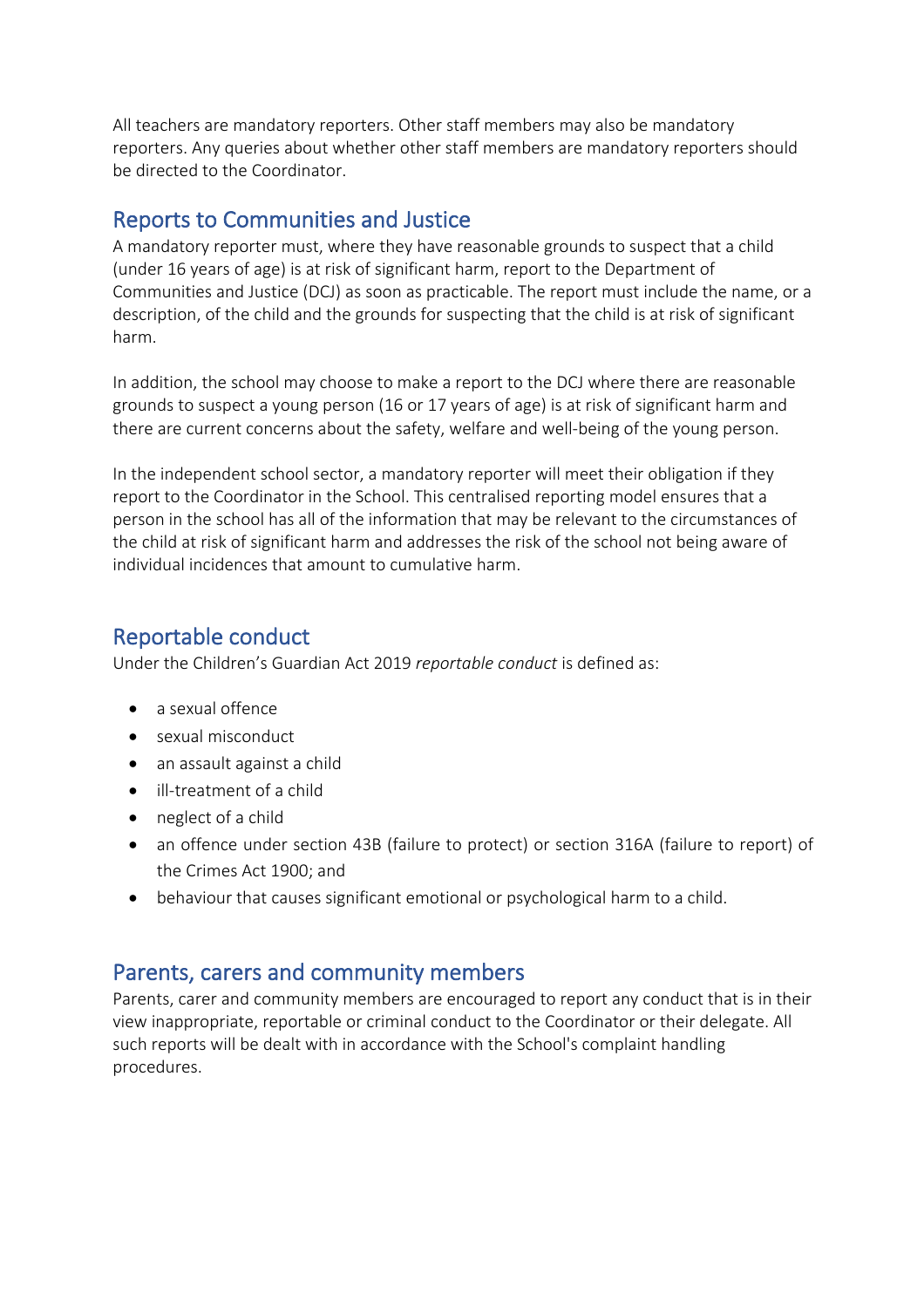All teachers are mandatory reporters. Other staff members may also be mandatory reporters. Any queries about whether other staff members are mandatory reporters should be directed to the Coordinator.

#### Reports to Communities and Justice

A mandatory reporter must, where they have reasonable grounds to suspect that a child (under 16 years of age) is at risk of significant harm, report to the Department of Communities and Justice (DCJ) as soon as practicable. The report must include the name, or a description, of the child and the grounds for suspecting that the child is at risk of significant harm.

In addition, the school may choose to make a report to the DCJ where there are reasonable grounds to suspect a young person (16 or 17 years of age) is at risk of significant harm and there are current concerns about the safety, welfare and well-being of the young person.

In the independent school sector, a mandatory reporter will meet their obligation if they report to the Coordinator in the School. This centralised reporting model ensures that a person in the school has all of the information that may be relevant to the circumstances of the child at risk of significant harm and addresses the risk of the school not being aware of individual incidences that amount to cumulative harm.

#### Reportable conduct

Under the Children's Guardian Act 2019 *reportable conduct* is defined as:

- a sexual offence
- sexual misconduct
- an assault against a child
- ill-treatment of a child
- neglect of a child
- an offence under section 43B (failure to protect) or section 316A (failure to report) of the Crimes Act 1900; and
- behaviour that causes significant emotional or psychological harm to a child.

#### Parents, carers and community members

Parents, carer and community members are encouraged to report any conduct that is in their view inappropriate, reportable or criminal conduct to the Coordinator or their delegate. All such reports will be dealt with in accordance with the School's complaint handling procedures.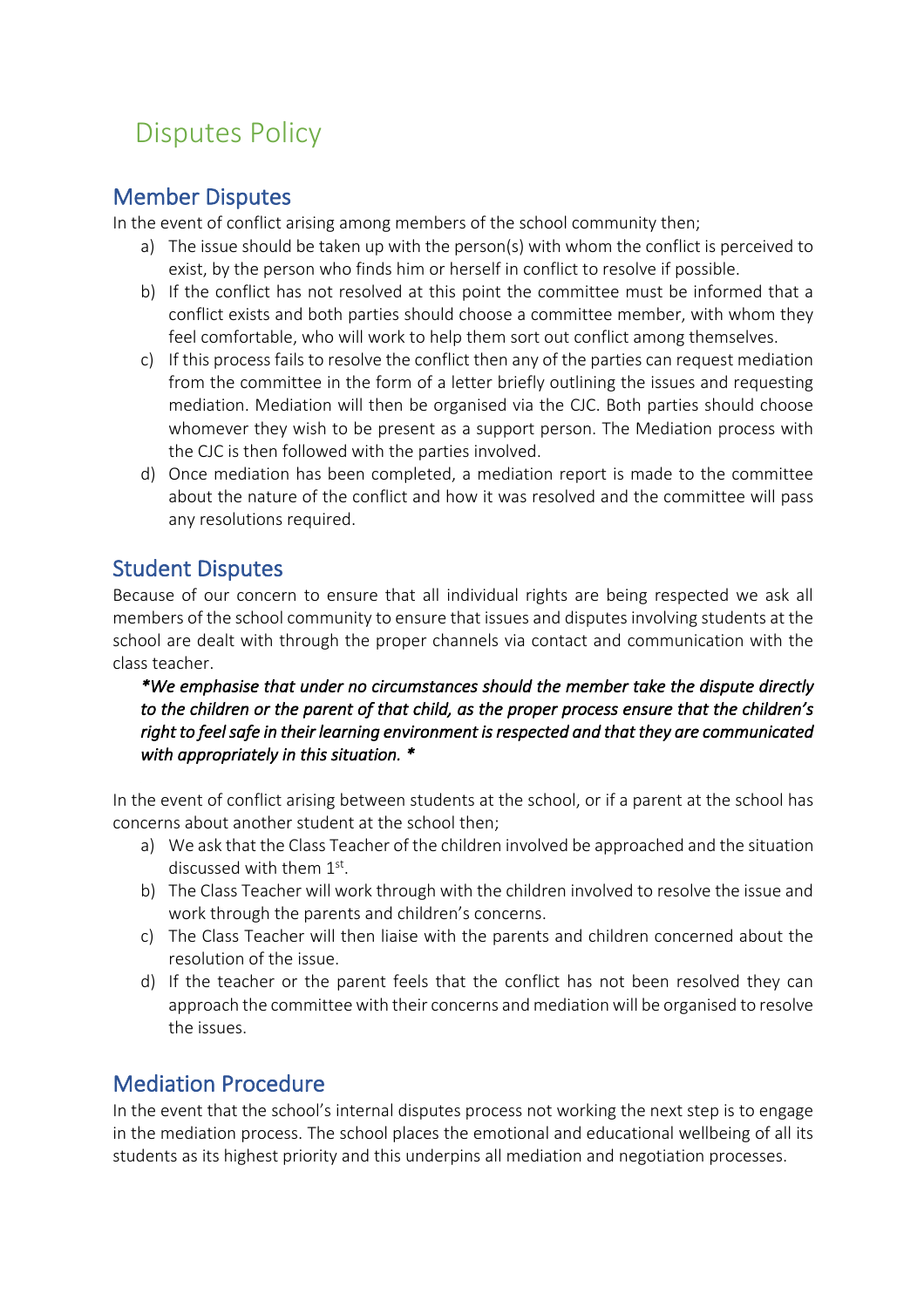# Disputes Policy

#### Member Disputes

In the event of conflict arising among members of the school community then;

- a) The issue should be taken up with the person(s) with whom the conflict is perceived to exist, by the person who finds him or herself in conflict to resolve if possible.
- b) If the conflict has not resolved at this point the committee must be informed that a conflict exists and both parties should choose a committee member, with whom they feel comfortable, who will work to help them sort out conflict among themselves.
- c) If this process fails to resolve the conflict then any of the parties can request mediation from the committee in the form of a letter briefly outlining the issues and requesting mediation. Mediation will then be organised via the CJC. Both parties should choose whomever they wish to be present as a support person. The Mediation process with the CJC is then followed with the parties involved.
- d) Once mediation has been completed, a mediation report is made to the committee about the nature of the conflict and how it was resolved and the committee will pass any resolutions required.

#### Student Disputes

Because of our concern to ensure that all individual rights are being respected we ask all members of the school community to ensure that issues and disputes involving students at the school are dealt with through the proper channels via contact and communication with the class teacher.

*\*We emphasise that under no circumstances should the member take the dispute directly to the children or the parent of that child, as the proper process ensure that the children's right to feel safe in their learning environment is respected and that they are communicated with appropriately in this situation. \** 

In the event of conflict arising between students at the school, or if a parent at the school has concerns about another student at the school then;

- a) We ask that the Class Teacher of the children involved be approached and the situation discussed with them 1st.
- b) The Class Teacher will work through with the children involved to resolve the issue and work through the parents and children's concerns.
- c) The Class Teacher will then liaise with the parents and children concerned about the resolution of the issue.
- d) If the teacher or the parent feels that the conflict has not been resolved they can approach the committee with their concerns and mediation will be organised to resolve the issues.

#### Mediation Procedure

In the event that the school's internal disputes process not working the next step is to engage in the mediation process. The school places the emotional and educational wellbeing of all its students as its highest priority and this underpins all mediation and negotiation processes.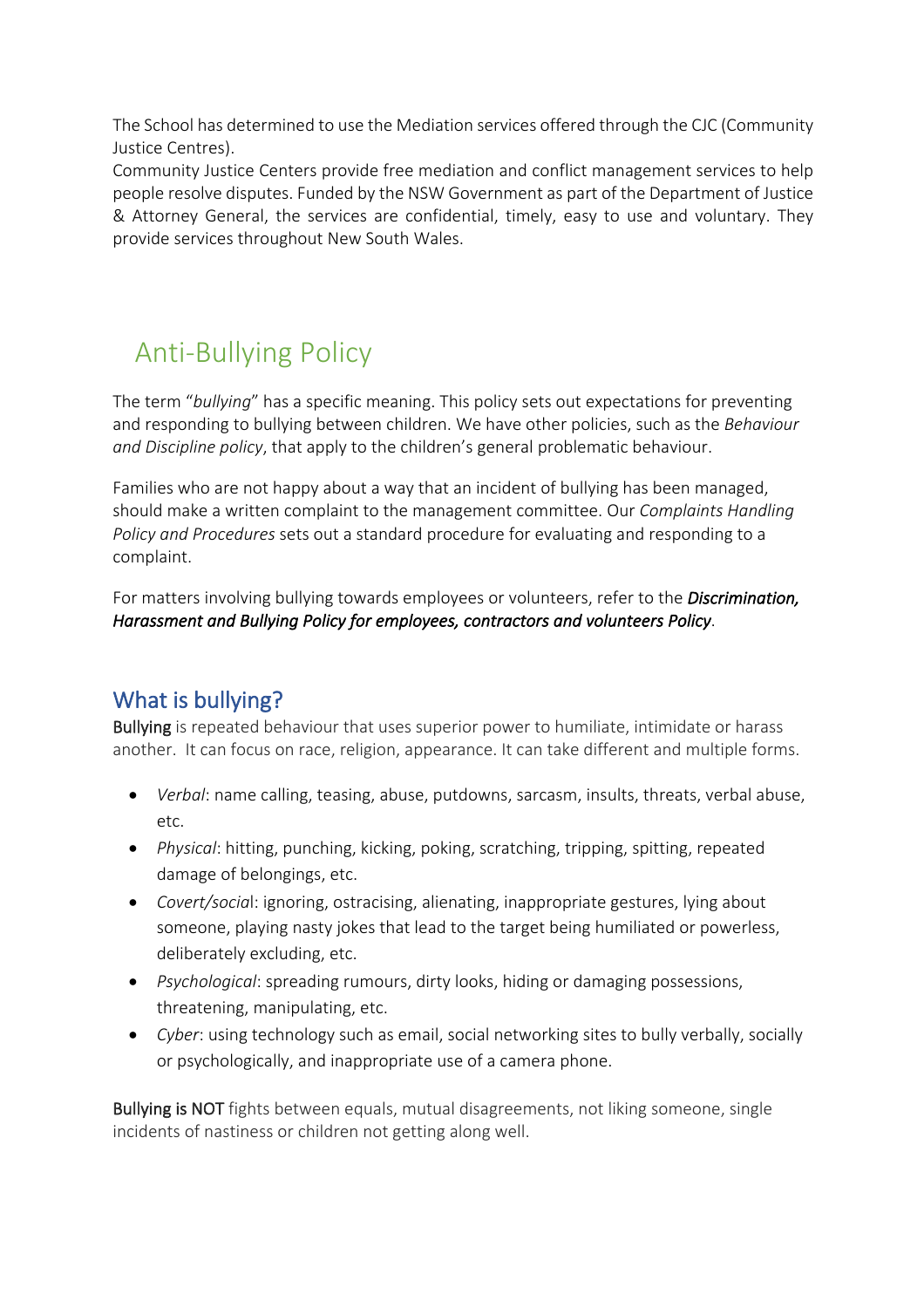The School has determined to use the Mediation services offered through the CJC (Community Justice Centres).

Community Justice Centers provide free mediation and conflict management services to help people resolve disputes. Funded by the NSW Government as part of the Department of Justice & Attorney General, the services are confidential, timely, easy to use and voluntary. They provide services throughout New South Wales.

# Anti-Bullying Policy

The term "*bullying*" has a specific meaning. This policy sets out expectations for preventing and responding to bullying between children. We have other policies, such as the *Behaviour and Discipline policy*, that apply to the children's general problematic behaviour.

Families who are not happy about a way that an incident of bullying has been managed, should make a written complaint to the management committee. Our *Complaints Handling Policy and Procedures* sets out a standard procedure for evaluating and responding to a complaint.

For matters involving bullying towards employees or volunteers, refer to the *Discrimination, Harassment and Bullying Policy for employees, contractors and volunteers Policy*.

### What is bullying?

Bullying is repeated behaviour that uses superior power to humiliate, intimidate or harass another. It can focus on race, religion, appearance. It can take different and multiple forms.

- *Verbal*: name calling, teasing, abuse, putdowns, sarcasm, insults, threats, verbal abuse, etc.
- *Physical*: hitting, punching, kicking, poking, scratching, tripping, spitting, repeated damage of belongings, etc.
- *Covert/socia*l: ignoring, ostracising, alienating, inappropriate gestures, lying about someone, playing nasty jokes that lead to the target being humiliated or powerless, deliberately excluding, etc.
- *Psychological*: spreading rumours, dirty looks, hiding or damaging possessions, threatening, manipulating, etc.
- *Cyber*: using technology such as email, social networking sites to bully verbally, socially or psychologically, and inappropriate use of a camera phone.

Bullying is NOT fights between equals, mutual disagreements, not liking someone, single incidents of nastiness or children not getting along well.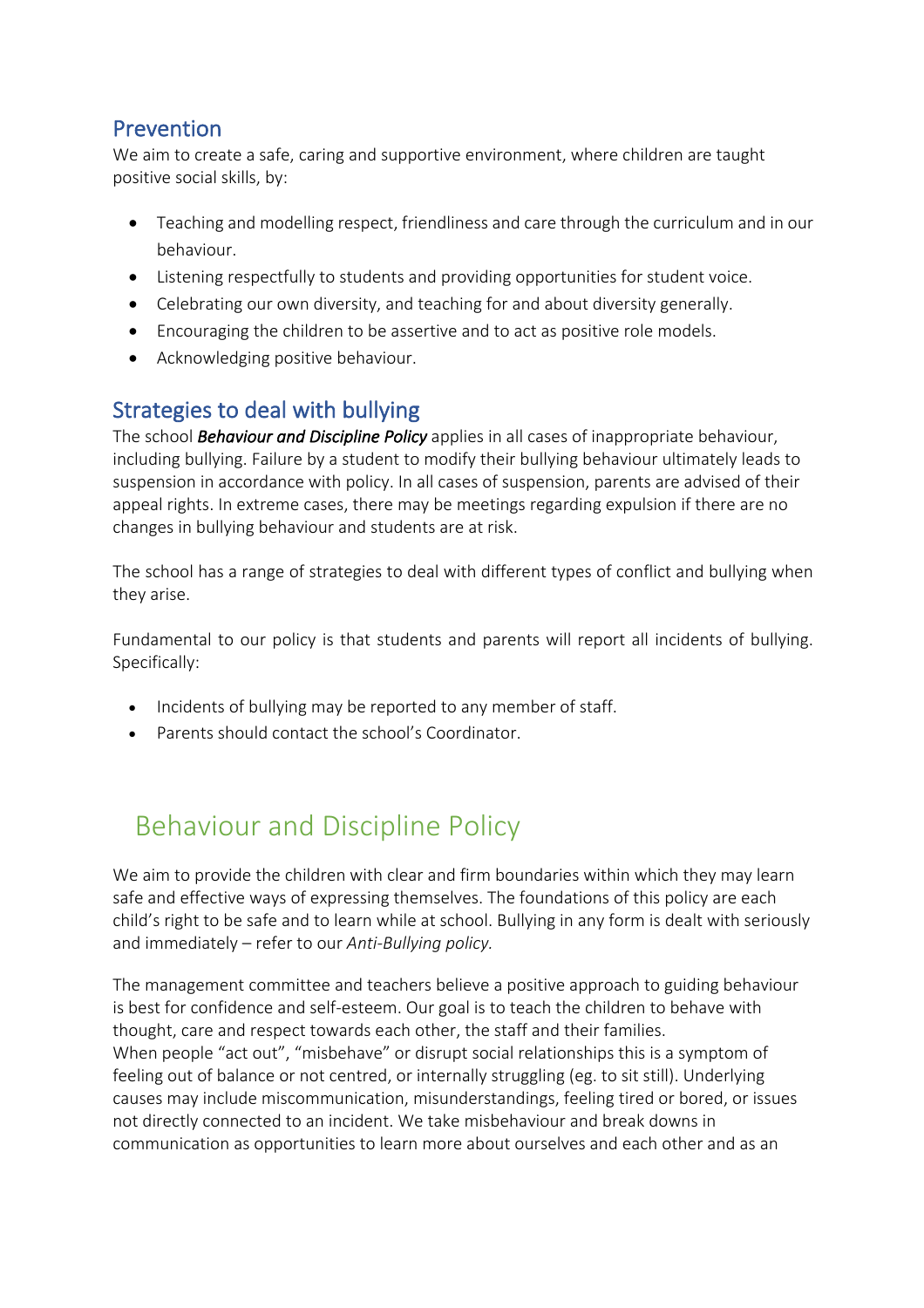### Prevention

We aim to create a safe, caring and supportive environment, where children are taught positive social skills, by:

- Teaching and modelling respect, friendliness and care through the curriculum and in our behaviour.
- Listening respectfully to students and providing opportunities for student voice.
- Celebrating our own diversity, and teaching for and about diversity generally.
- Encouraging the children to be assertive and to act as positive role models.
- Acknowledging positive behaviour.

## Strategies to deal with bullying

The school *Behaviour and Discipline Policy* applies in all cases of inappropriate behaviour, including bullying. Failure by a student to modify their bullying behaviour ultimately leads to suspension in accordance with policy. In all cases of suspension, parents are advised of their appeal rights. In extreme cases, there may be meetings regarding expulsion if there are no changes in bullying behaviour and students are at risk.

The school has a range of strategies to deal with different types of conflict and bullying when they arise.

Fundamental to our policy is that students and parents will report all incidents of bullying. Specifically:

- Incidents of bullying may be reported to any member of staff.
- Parents should contact the school's Coordinator.

# Behaviour and Discipline Policy

We aim to provide the children with clear and firm boundaries within which they may learn safe and effective ways of expressing themselves. The foundations of this policy are each child's right to be safe and to learn while at school. Bullying in any form is dealt with seriously and immediately – refer to our *Anti-Bullying policy.*

The management committee and teachers believe a positive approach to guiding behaviour is best for confidence and self-esteem. Our goal is to teach the children to behave with thought, care and respect towards each other, the staff and their families. When people "act out", "misbehave" or disrupt social relationships this is a symptom of feeling out of balance or not centred, or internally struggling (eg. to sit still). Underlying causes may include miscommunication, misunderstandings, feeling tired or bored, or issues not directly connected to an incident. We take misbehaviour and break downs in communication as opportunities to learn more about ourselves and each other and as an